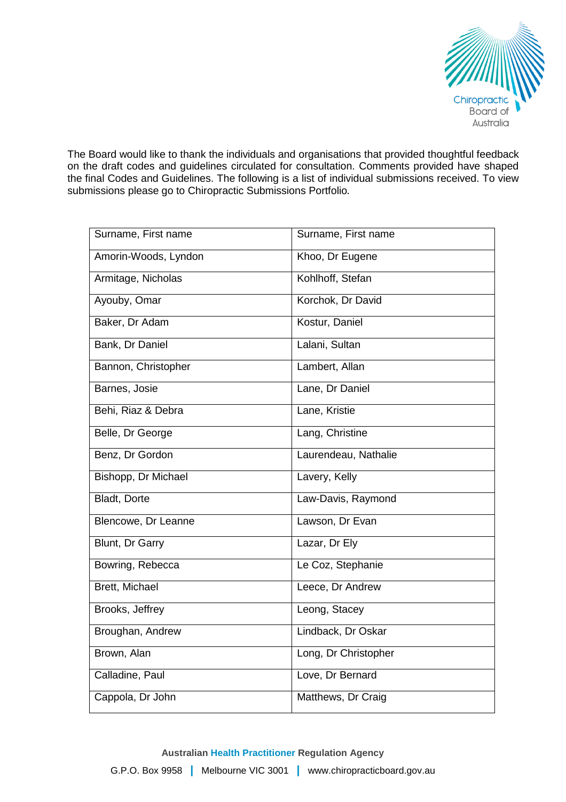

The Board would like to thank the individuals and organisations that provided thoughtful feedback on the draft codes and guidelines circulated for consultation. Comments provided have shaped the final Codes and Guidelines. The following is a list of individual submissions received. To view submissions please go to Chiropractic Submissions Portfolio.

| Surname, First name  | Surname, First name  |
|----------------------|----------------------|
| Amorin-Woods, Lyndon | Khoo, Dr Eugene      |
| Armitage, Nicholas   | Kohlhoff, Stefan     |
| Ayouby, Omar         | Korchok, Dr David    |
| Baker, Dr Adam       | Kostur, Daniel       |
| Bank, Dr Daniel      | Lalani, Sultan       |
| Bannon, Christopher  | Lambert, Allan       |
| Barnes, Josie        | Lane, Dr Daniel      |
| Behi, Riaz & Debra   | Lane, Kristie        |
| Belle, Dr George     | Lang, Christine      |
| Benz, Dr Gordon      | Laurendeau, Nathalie |
| Bishopp, Dr Michael  | Lavery, Kelly        |
| Bladt, Dorte         | Law-Davis, Raymond   |
| Blencowe, Dr Leanne  | Lawson, Dr Evan      |
| Blunt, Dr Garry      | Lazar, Dr Ely        |
| Bowring, Rebecca     | Le Coz, Stephanie    |
| Brett, Michael       | Leece, Dr Andrew     |
| Brooks, Jeffrey      | Leong, Stacey        |
| Broughan, Andrew     | Lindback, Dr Oskar   |
| Brown, Alan          | Long, Dr Christopher |
| Calladine, Paul      | Love, Dr Bernard     |
| Cappola, Dr John     | Matthews, Dr Craig   |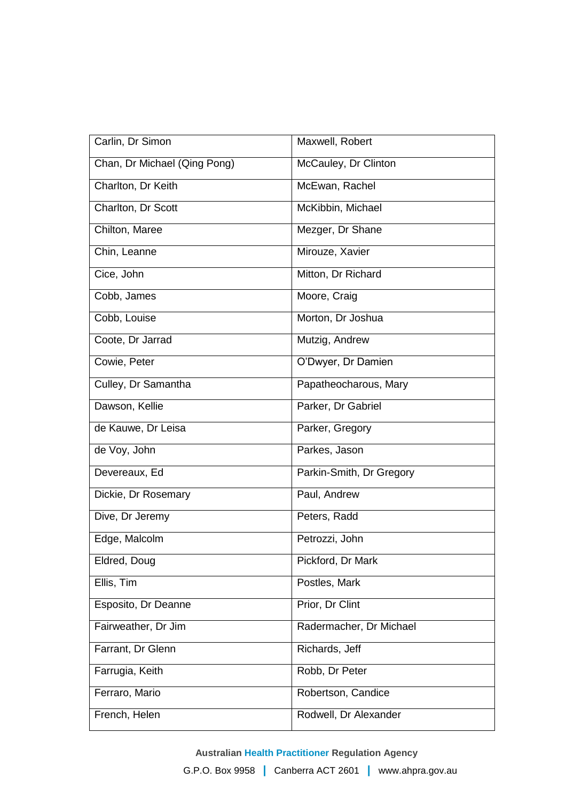| Carlin, Dr Simon             | Maxwell, Robert          |
|------------------------------|--------------------------|
| Chan, Dr Michael (Qing Pong) | McCauley, Dr Clinton     |
| Charlton, Dr Keith           | McEwan, Rachel           |
| Charlton, Dr Scott           | McKibbin, Michael        |
| Chilton, Maree               | Mezger, Dr Shane         |
| Chin, Leanne                 | Mirouze, Xavier          |
| Cice, John                   | Mitton, Dr Richard       |
| Cobb, James                  | Moore, Craig             |
| Cobb, Louise                 | Morton, Dr Joshua        |
| Coote, Dr Jarrad             | Mutzig, Andrew           |
| Cowie, Peter                 | O'Dwyer, Dr Damien       |
| Culley, Dr Samantha          | Papatheocharous, Mary    |
| Dawson, Kellie               | Parker, Dr Gabriel       |
| de Kauwe, Dr Leisa           | Parker, Gregory          |
| de Voy, John                 | Parkes, Jason            |
| Devereaux, Ed                | Parkin-Smith, Dr Gregory |
| Dickie, Dr Rosemary          | Paul, Andrew             |
| Dive, Dr Jeremy              | Peters, Radd             |
| Edge, Malcolm                | Petrozzi, John           |
| Eldred, Doug                 | Pickford, Dr Mark        |
| Ellis, Tim                   | Postles, Mark            |
| Esposito, Dr Deanne          | Prior, Dr Clint          |
| Fairweather, Dr Jim          | Radermacher, Dr Michael  |
| Farrant, Dr Glenn            | Richards, Jeff           |
| Farrugia, Keith              | Robb, Dr Peter           |
| Ferraro, Mario               | Robertson, Candice       |
| French, Helen                | Rodwell, Dr Alexander    |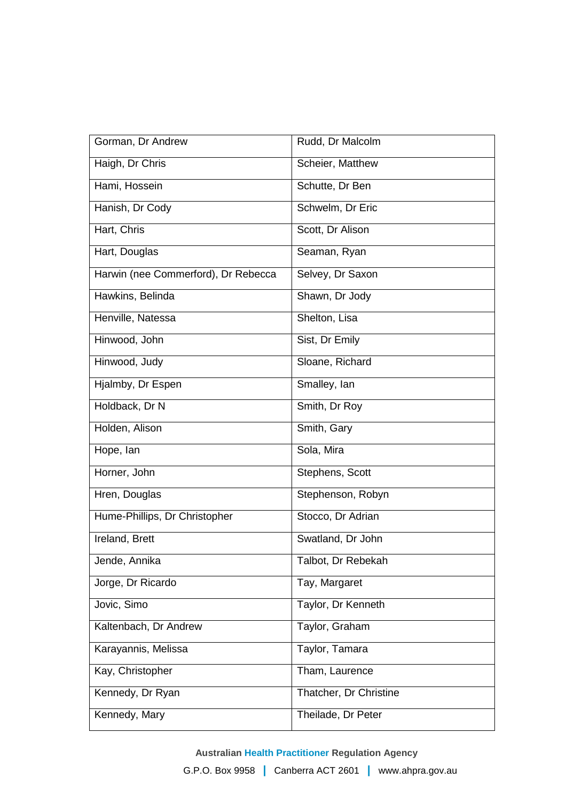| Gorman, Dr Andrew                   | Rudd, Dr Malcolm       |
|-------------------------------------|------------------------|
| Haigh, Dr Chris                     | Scheier, Matthew       |
| Hami, Hossein                       | Schutte, Dr Ben        |
| Hanish, Dr Cody                     | Schwelm, Dr Eric       |
| Hart, Chris                         | Scott, Dr Alison       |
| Hart, Douglas                       | Seaman, Ryan           |
| Harwin (nee Commerford), Dr Rebecca | Selvey, Dr Saxon       |
| Hawkins, Belinda                    | Shawn, Dr Jody         |
| Henville, Natessa                   | Shelton, Lisa          |
| Hinwood, John                       | Sist, Dr Emily         |
| Hinwood, Judy                       | Sloane, Richard        |
| Hjalmby, Dr Espen                   | Smalley, lan           |
| Holdback, Dr N                      | Smith, Dr Roy          |
| Holden, Alison                      | Smith, Gary            |
| Hope, lan                           | Sola, Mira             |
| Horner, John                        | Stephens, Scott        |
| Hren, Douglas                       | Stephenson, Robyn      |
| Hume-Phillips, Dr Christopher       | Stocco, Dr Adrian      |
| Ireland, Brett                      | Swatland, Dr John      |
| Jende, Annika                       | Talbot, Dr Rebekah     |
| Jorge, Dr Ricardo                   | Tay, Margaret          |
| Jovic, Simo                         | Taylor, Dr Kenneth     |
| Kaltenbach, Dr Andrew               | Taylor, Graham         |
| Karayannis, Melissa                 | Taylor, Tamara         |
| Kay, Christopher                    | Tham, Laurence         |
| Kennedy, Dr Ryan                    | Thatcher, Dr Christine |
| Kennedy, Mary                       | Theilade, Dr Peter     |

**Australian Health Practitioner Regulation Agency**